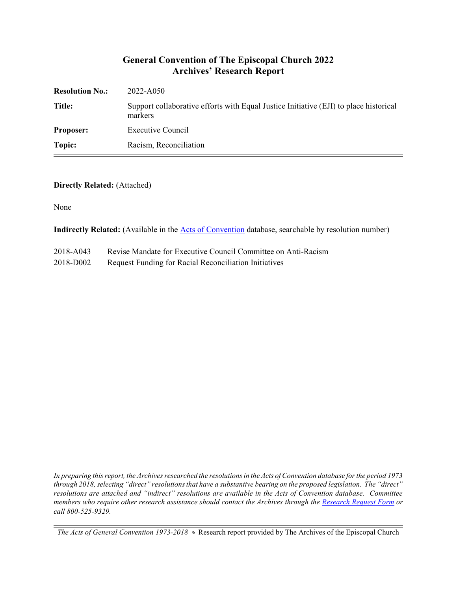#### **General Convention of The Episcopal Church 2022 Archives' Research Report**

| <b>Resolution No.:</b> | 2022-A050                                                                                        |
|------------------------|--------------------------------------------------------------------------------------------------|
| Title:                 | Support collaborative efforts with Equal Justice Initiative (EJI) to place historical<br>markers |
| <b>Proposer:</b>       | Executive Council                                                                                |
| Topic:                 | Racism, Reconciliation                                                                           |

#### **Directly Related:** (Attached)

None

**Indirectly Related:** (Available in the [Acts of Convention](https://www.episcopalarchives.org/e-archives/acts/) database, searchable by resolution number)

2018-D002 Request Funding for Racial Reconciliation Initiatives

*In preparing this report, the Archives researched the resolutions in the Acts of Convention database for the period 1973 through 2018, selecting "direct" resolutions that have a substantive bearing on the proposed legislation. The "direct" resolutions are attached and "indirect" resolutions are available in the Acts of Convention database. Committee members who require other research assistance should contact the Archives through the Research [Request Form](https://www.episcopalarchives.org/contact/research-request-form) or call 800-525-9329.*

*The Acts of General Convention 1973-2018*  $*$  Research report provided by The Archives of the Episcopal Church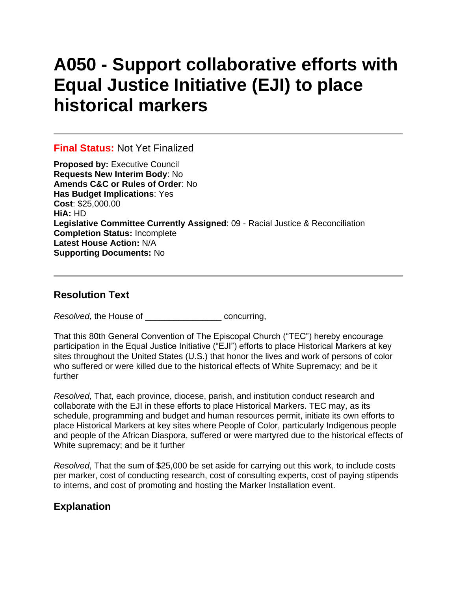# **A050 - Support collaborative efforts with Equal Justice Initiative (EJI) to place historical markers**

#### **Final Status:** Not Yet Finalized

**Proposed by:** Executive Council **Requests New Interim Body**: No **Amends C&C or Rules of Order**: No **Has Budget Implications**: Yes **Cost**: \$25,000.00 **HiA:** HD **Legislative Committee Currently Assigned**: 09 - Racial Justice & Reconciliation **Completion Status:** Incomplete **Latest House Action:** N/A **Supporting Documents:** No

### **Resolution Text**

*Resolved*, the House of \_\_\_\_\_\_\_\_\_\_\_\_\_\_\_\_ concurring,

That this 80th General Convention of The Episcopal Church ("TEC") hereby encourage participation in the Equal Justice Initiative ("EJI") efforts to place Historical Markers at key sites throughout the United States (U.S.) that honor the lives and work of persons of color who suffered or were killed due to the historical effects of White Supremacy; and be it further

*Resolved*, That, each province, diocese, parish, and institution conduct research and collaborate with the EJI in these efforts to place Historical Markers. TEC may, as its schedule, programming and budget and human resources permit, initiate its own efforts to place Historical Markers at key sites where People of Color, particularly Indigenous people and people of the African Diaspora, suffered or were martyred due to the historical effects of White supremacy; and be it further

*Resolved*, That the sum of \$25,000 be set aside for carrying out this work, to include costs per marker, cost of conducting research, cost of consulting experts, cost of paying stipends to interns, and cost of promoting and hosting the Marker Installation event.

## **Explanation**